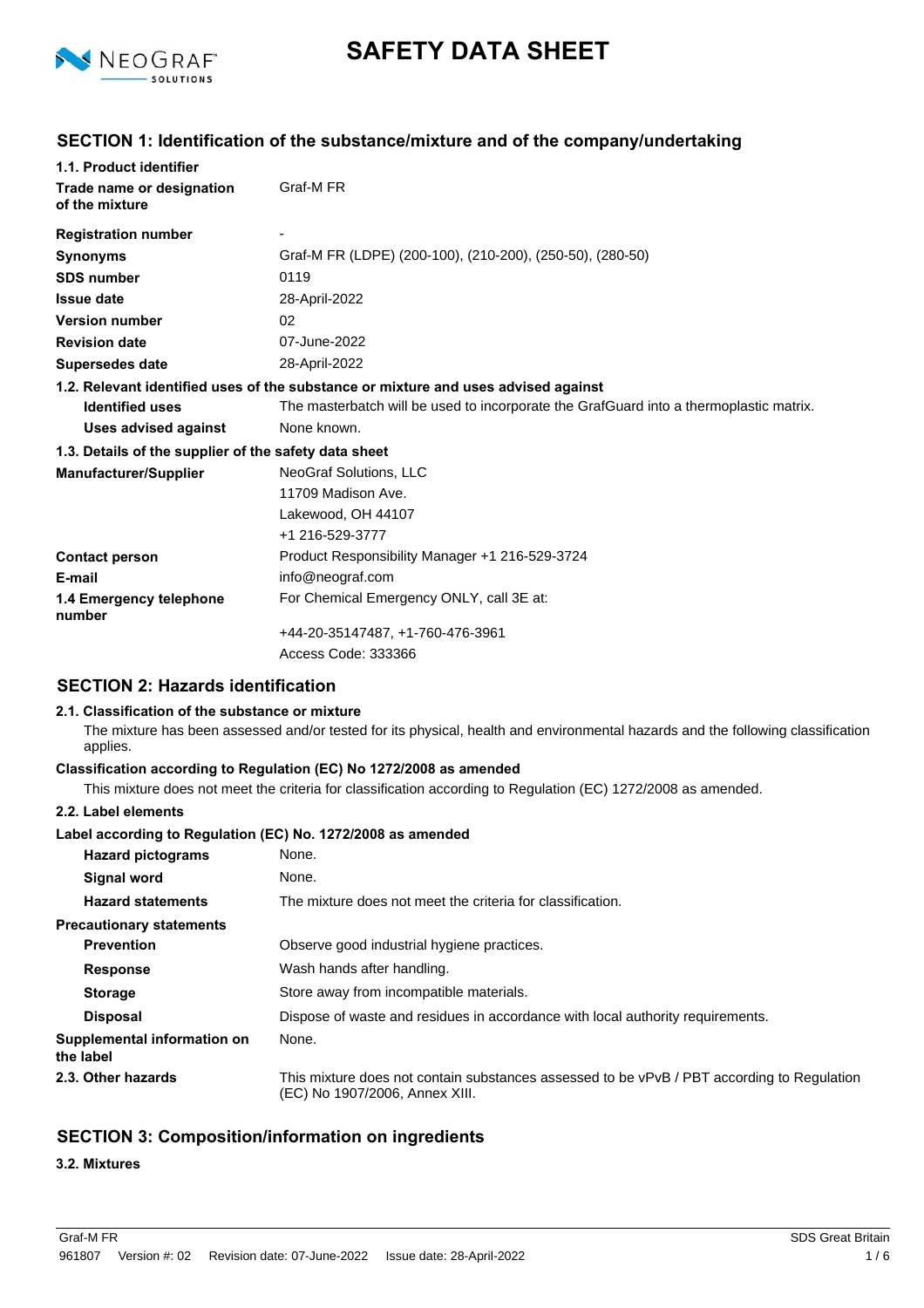

# **SAFETY DATA SHEET**

# **SECTION 1: Identification of the substance/mixture and of the company/undertaking**

| 1.1. Product identifier                               |                                                                                        |  |  |
|-------------------------------------------------------|----------------------------------------------------------------------------------------|--|--|
| Trade name or designation                             | Graf-M FR                                                                              |  |  |
| of the mixture                                        |                                                                                        |  |  |
| <b>Registration number</b>                            |                                                                                        |  |  |
| <b>Synonyms</b>                                       | Graf-M FR (LDPE) (200-100), (210-200), (250-50), (280-50)                              |  |  |
| <b>SDS number</b>                                     | 0119                                                                                   |  |  |
| <b>Issue date</b>                                     | 28-April-2022                                                                          |  |  |
| <b>Version number</b>                                 | 02                                                                                     |  |  |
| <b>Revision date</b>                                  | 07-June-2022                                                                           |  |  |
| <b>Supersedes date</b>                                | 28-April-2022                                                                          |  |  |
|                                                       | 1.2. Relevant identified uses of the substance or mixture and uses advised against     |  |  |
| <b>Identified uses</b>                                | The masterbatch will be used to incorporate the GrafGuard into a thermoplastic matrix. |  |  |
| <b>Uses advised against</b>                           | None known.                                                                            |  |  |
| 1.3. Details of the supplier of the safety data sheet |                                                                                        |  |  |
| <b>Manufacturer/Supplier</b>                          | <b>NeoGraf Solutions, LLC</b>                                                          |  |  |
|                                                       | 11709 Madison Ave.                                                                     |  |  |
|                                                       | Lakewood, OH 44107                                                                     |  |  |
|                                                       | +1 216-529-3777                                                                        |  |  |
| <b>Contact person</b>                                 | Product Responsibility Manager +1 216-529-3724                                         |  |  |
| E-mail                                                | info@neograf.com                                                                       |  |  |
| 1.4 Emergency telephone<br>number                     | For Chemical Emergency ONLY, call 3E at:                                               |  |  |
|                                                       | +44-20-35147487, +1-760-476-3961                                                       |  |  |
|                                                       | Access Code: 333366                                                                    |  |  |

### **SECTION 2: Hazards identification**

#### **2.1. Classification of the substance or mixture**

The mixture has been assessed and/or tested for its physical, health and environmental hazards and the following classification applies.

### **Classification according to Regulation (EC) No 1272/2008 as amended**

This mixture does not meet the criteria for classification according to Regulation (EC) 1272/2008 as amended.

### **2.2. Label elements**

### **Label according to Regulation (EC) No. 1272/2008 as amended**

| <b>Hazard pictograms</b>                 | None.                                                                                                                        |
|------------------------------------------|------------------------------------------------------------------------------------------------------------------------------|
| <b>Signal word</b>                       | None.                                                                                                                        |
| <b>Hazard statements</b>                 | The mixture does not meet the criteria for classification.                                                                   |
| <b>Precautionary statements</b>          |                                                                                                                              |
| <b>Prevention</b>                        | Observe good industrial hygiene practices.                                                                                   |
| <b>Response</b>                          | Wash hands after handling.                                                                                                   |
| <b>Storage</b>                           | Store away from incompatible materials.                                                                                      |
| <b>Disposal</b>                          | Dispose of waste and residues in accordance with local authority requirements.                                               |
| Supplemental information on<br>the label | None.                                                                                                                        |
| 2.3. Other hazards                       | This mixture does not contain substances assessed to be vPvB / PBT according to Regulation<br>(EC) No 1907/2006, Annex XIII. |

# **SECTION 3: Composition/information on ingredients**

### **3.2. Mixtures**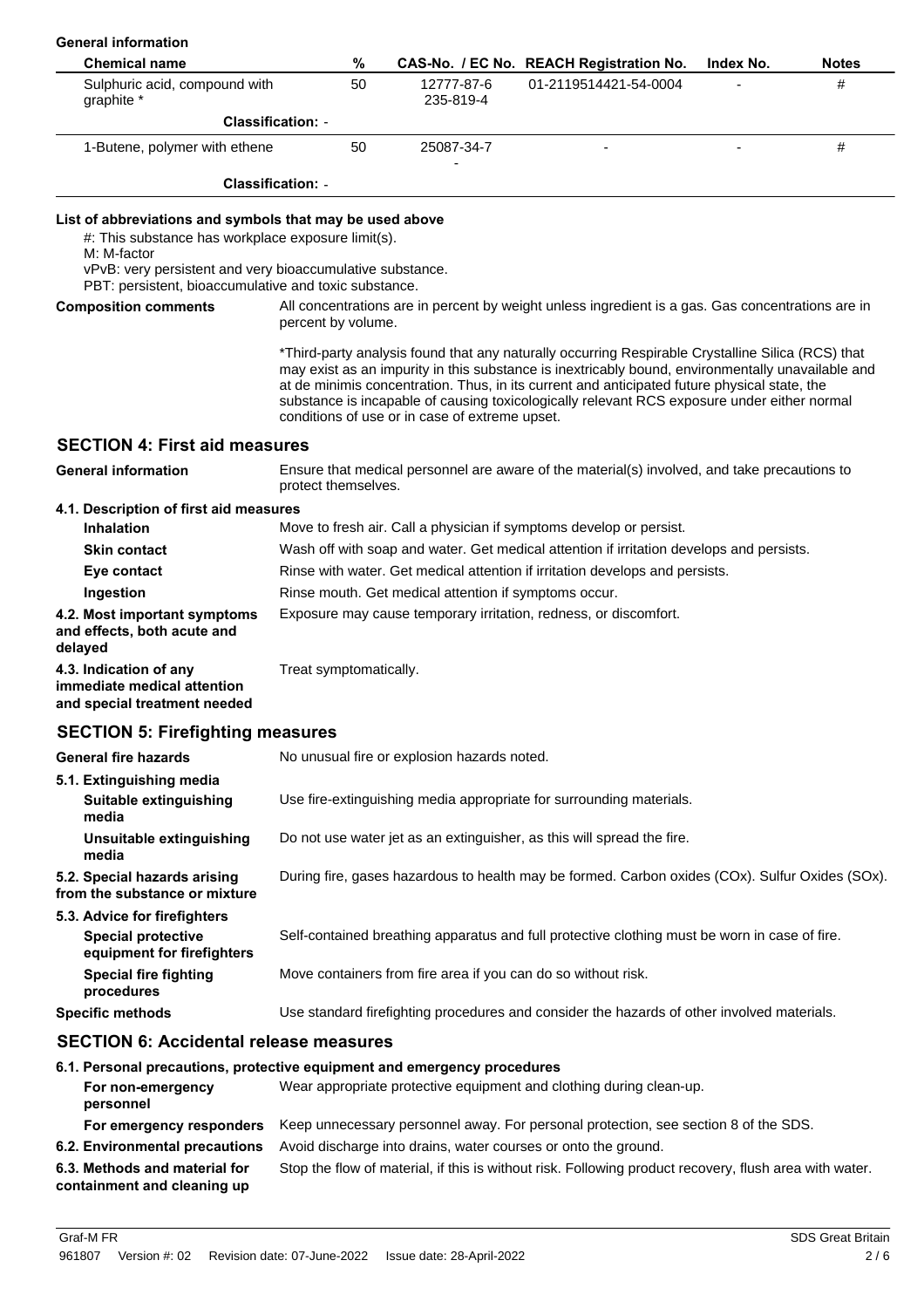| <b>General information</b>                                                                                                                                                                 |                                                                              |    |                                                |  |                                                                                                                                                                                                                                                                                                                                                                                                       |           |              |
|--------------------------------------------------------------------------------------------------------------------------------------------------------------------------------------------|------------------------------------------------------------------------------|----|------------------------------------------------|--|-------------------------------------------------------------------------------------------------------------------------------------------------------------------------------------------------------------------------------------------------------------------------------------------------------------------------------------------------------------------------------------------------------|-----------|--------------|
| <b>Chemical name</b>                                                                                                                                                                       |                                                                              | %  |                                                |  | CAS-No. / EC No. REACH Registration No.                                                                                                                                                                                                                                                                                                                                                               | Index No. | <b>Notes</b> |
| Sulphuric acid, compound with<br>graphite *                                                                                                                                                |                                                                              | 50 | 12777-87-6<br>235-819-4                        |  | 01-2119514421-54-0004                                                                                                                                                                                                                                                                                                                                                                                 |           | #            |
|                                                                                                                                                                                            | <b>Classification: -</b>                                                     |    |                                                |  |                                                                                                                                                                                                                                                                                                                                                                                                       |           |              |
| 1-Butene, polymer with ethene                                                                                                                                                              |                                                                              | 50 | 25087-34-7                                     |  |                                                                                                                                                                                                                                                                                                                                                                                                       |           | #            |
|                                                                                                                                                                                            | <b>Classification: -</b>                                                     |    |                                                |  |                                                                                                                                                                                                                                                                                                                                                                                                       |           |              |
| List of abbreviations and symbols that may be used above<br>#: This substance has workplace exposure limit(s).<br>M: M-factor<br>vPvB: very persistent and very bioaccumulative substance. |                                                                              |    |                                                |  |                                                                                                                                                                                                                                                                                                                                                                                                       |           |              |
| PBT: persistent, bioaccumulative and toxic substance.                                                                                                                                      |                                                                              |    |                                                |  |                                                                                                                                                                                                                                                                                                                                                                                                       |           |              |
| <b>Composition comments</b>                                                                                                                                                                | percent by volume.                                                           |    |                                                |  | All concentrations are in percent by weight unless ingredient is a gas. Gas concentrations are in                                                                                                                                                                                                                                                                                                     |           |              |
|                                                                                                                                                                                            |                                                                              |    | conditions of use or in case of extreme upset. |  | *Third-party analysis found that any naturally occurring Respirable Crystalline Silica (RCS) that<br>may exist as an impurity in this substance is inextricably bound, environmentally unavailable and<br>at de minimis concentration. Thus, in its current and anticipated future physical state, the<br>substance is incapable of causing toxicologically relevant RCS exposure under either normal |           |              |
| <b>SECTION 4: First aid measures</b>                                                                                                                                                       |                                                                              |    |                                                |  |                                                                                                                                                                                                                                                                                                                                                                                                       |           |              |
| <b>General information</b>                                                                                                                                                                 | protect themselves.                                                          |    |                                                |  | Ensure that medical personnel are aware of the material(s) involved, and take precautions to                                                                                                                                                                                                                                                                                                          |           |              |
| 4.1. Description of first aid measures                                                                                                                                                     |                                                                              |    |                                                |  |                                                                                                                                                                                                                                                                                                                                                                                                       |           |              |
| <b>Inhalation</b>                                                                                                                                                                          |                                                                              |    |                                                |  | Move to fresh air. Call a physician if symptoms develop or persist.                                                                                                                                                                                                                                                                                                                                   |           |              |
| <b>Skin contact</b>                                                                                                                                                                        |                                                                              |    |                                                |  | Wash off with soap and water. Get medical attention if irritation develops and persists.                                                                                                                                                                                                                                                                                                              |           |              |
| Eye contact                                                                                                                                                                                | Rinse with water. Get medical attention if irritation develops and persists. |    |                                                |  |                                                                                                                                                                                                                                                                                                                                                                                                       |           |              |
| Ingestion                                                                                                                                                                                  | Rinse mouth. Get medical attention if symptoms occur.                        |    |                                                |  |                                                                                                                                                                                                                                                                                                                                                                                                       |           |              |
| 4.2. Most important symptoms<br>and effects, both acute and<br>delayed                                                                                                                     |                                                                              |    |                                                |  | Exposure may cause temporary irritation, redness, or discomfort.                                                                                                                                                                                                                                                                                                                                      |           |              |
| 4.3. Indication of any<br>immediate medical attention<br>and special treatment needed                                                                                                      | Treat symptomatically.                                                       |    |                                                |  |                                                                                                                                                                                                                                                                                                                                                                                                       |           |              |
| <b>SECTION 5: Firefighting measures</b>                                                                                                                                                    |                                                                              |    |                                                |  |                                                                                                                                                                                                                                                                                                                                                                                                       |           |              |
| <b>General fire hazards</b>                                                                                                                                                                |                                                                              |    | No unusual fire or explosion hazards noted.    |  |                                                                                                                                                                                                                                                                                                                                                                                                       |           |              |
| 5.1. Extinguishing media<br>Suitable extinguishing<br>media                                                                                                                                |                                                                              |    |                                                |  | Use fire-extinguishing media appropriate for surrounding materials.                                                                                                                                                                                                                                                                                                                                   |           |              |
| Unsuitable extinguishing<br>media                                                                                                                                                          |                                                                              |    |                                                |  | Do not use water jet as an extinguisher, as this will spread the fire.                                                                                                                                                                                                                                                                                                                                |           |              |
| 5.2. Special hazards arising<br>from the substance or mixture                                                                                                                              |                                                                              |    |                                                |  | During fire, gases hazardous to health may be formed. Carbon oxides (COx). Sulfur Oxides (SOx).                                                                                                                                                                                                                                                                                                       |           |              |
| 5.3. Advice for firefighters<br><b>Special protective</b><br>equipment for firefighters                                                                                                    |                                                                              |    |                                                |  | Self-contained breathing apparatus and full protective clothing must be worn in case of fire.                                                                                                                                                                                                                                                                                                         |           |              |
| <b>Special fire fighting</b><br>procedures                                                                                                                                                 |                                                                              |    |                                                |  | Move containers from fire area if you can do so without risk.                                                                                                                                                                                                                                                                                                                                         |           |              |
| <b>Specific methods</b>                                                                                                                                                                    |                                                                              |    |                                                |  | Use standard firefighting procedures and consider the hazards of other involved materials.                                                                                                                                                                                                                                                                                                            |           |              |
| <b>SECTION 6: Accidental release measures</b>                                                                                                                                              |                                                                              |    |                                                |  |                                                                                                                                                                                                                                                                                                                                                                                                       |           |              |
| 6.1. Personal precautions, protective equipment and emergency procedures<br>For non-emergency<br>personnel                                                                                 |                                                                              |    |                                                |  | Wear appropriate protective equipment and clothing during clean-up.                                                                                                                                                                                                                                                                                                                                   |           |              |
| For emergency responders                                                                                                                                                                   |                                                                              |    |                                                |  | Keep unnecessary personnel away. For personal protection, see section 8 of the SDS.                                                                                                                                                                                                                                                                                                                   |           |              |
| 6.2. Environmental precautions                                                                                                                                                             |                                                                              |    |                                                |  | Avoid discharge into drains, water courses or onto the ground.                                                                                                                                                                                                                                                                                                                                        |           |              |
| 6.3. Methods and material for<br>containment and cleaning up                                                                                                                               |                                                                              |    |                                                |  | Stop the flow of material, if this is without risk. Following product recovery, flush area with water.                                                                                                                                                                                                                                                                                                |           |              |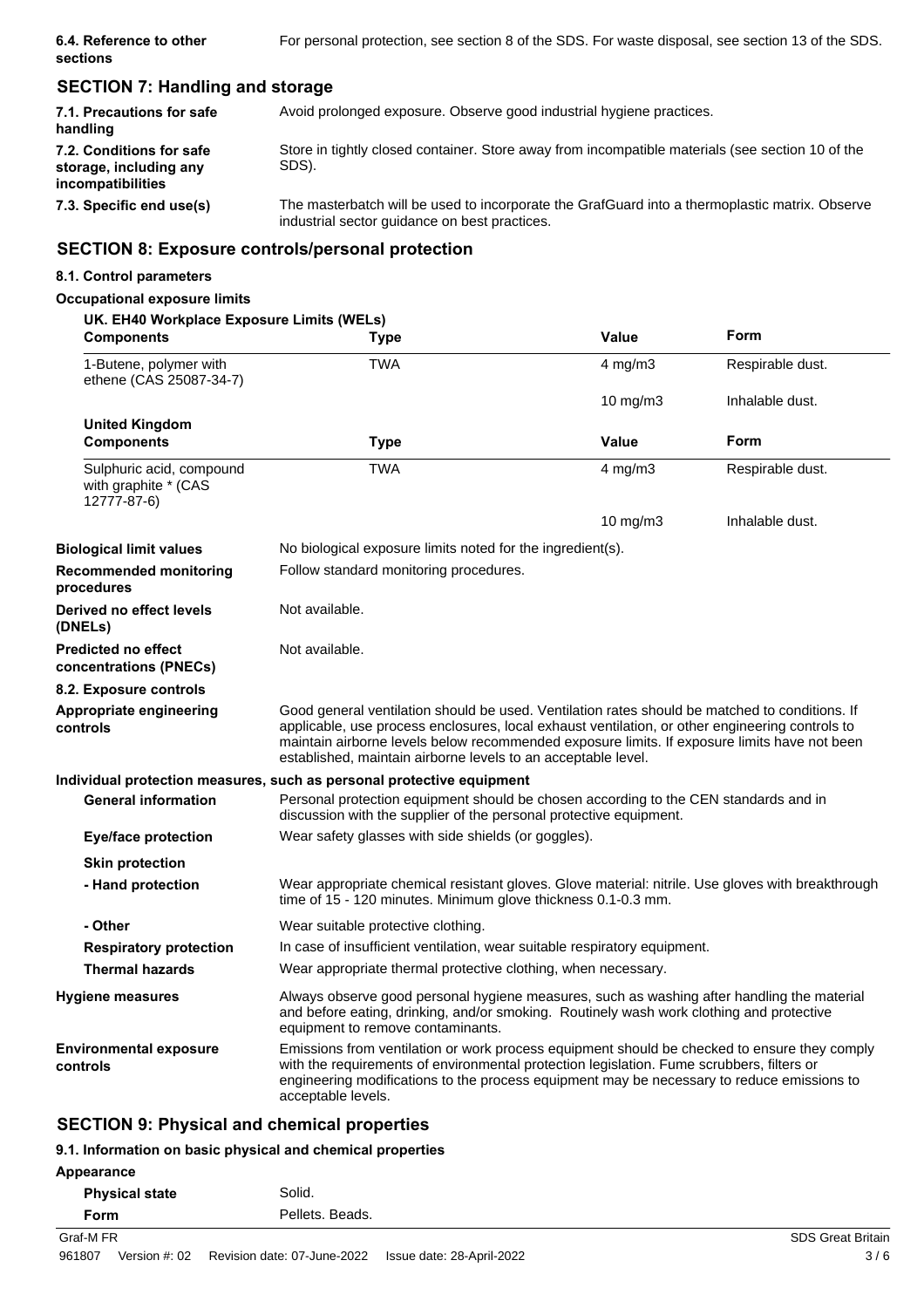# **SECTION 7: Handling and storage**

| 7.1. Precautions for safe<br>handling                                   | Avoid prolonged exposure. Observe good industrial hygiene practices.                                                                            |
|-------------------------------------------------------------------------|-------------------------------------------------------------------------------------------------------------------------------------------------|
| 7.2. Conditions for safe<br>storage, including any<br>incompatibilities | Store in tightly closed container. Store away from incompatible materials (see section 10 of the<br>SDS).                                       |
| 7.3. Specific end use(s)                                                | The masterbatch will be used to incorporate the GrafGuard into a thermoplastic matrix. Observe<br>industrial sector quidance on best practices. |

# **SECTION 8: Exposure controls/personal protection**

### **8.1. Control parameters**

### **Occupational exposure limits**

| UK. EH40 Workplace Exposure Limits (WELs)<br><b>Components</b>  | <b>Type</b>                                                                                                                                                                                                                                                                                                                                                        | <b>Value</b>      | Form             |
|-----------------------------------------------------------------|--------------------------------------------------------------------------------------------------------------------------------------------------------------------------------------------------------------------------------------------------------------------------------------------------------------------------------------------------------------------|-------------------|------------------|
| 1-Butene, polymer with<br>ethene (CAS 25087-34-7)               | <b>TWA</b>                                                                                                                                                                                                                                                                                                                                                         | $4$ mg/m $3$      | Respirable dust. |
|                                                                 |                                                                                                                                                                                                                                                                                                                                                                    | $10 \text{ mg/m}$ | Inhalable dust.  |
| <b>United Kingdom</b><br><b>Components</b>                      | <b>Type</b>                                                                                                                                                                                                                                                                                                                                                        | <b>Value</b>      | Form             |
| Sulphuric acid, compound<br>with graphite * (CAS<br>12777-87-6) | <b>TWA</b>                                                                                                                                                                                                                                                                                                                                                         | $4 \text{ mg/m}$  | Respirable dust. |
|                                                                 |                                                                                                                                                                                                                                                                                                                                                                    | 10 $mg/m3$        | Inhalable dust.  |
| Biological limit values                                         | No biological exposure limits noted for the ingredient(s).                                                                                                                                                                                                                                                                                                         |                   |                  |
| <b>Recommended monitoring</b><br>procedures                     | Follow standard monitoring procedures.                                                                                                                                                                                                                                                                                                                             |                   |                  |
| Derived no effect levels<br>(DNELs)                             | Not available.                                                                                                                                                                                                                                                                                                                                                     |                   |                  |
| Predicted no effect<br>concentrations (PNECs)                   | Not available.                                                                                                                                                                                                                                                                                                                                                     |                   |                  |
| 8.2. Exposure controls                                          |                                                                                                                                                                                                                                                                                                                                                                    |                   |                  |
| Appropriate engineering<br>controls                             | Good general ventilation should be used. Ventilation rates should be matched to conditions. If<br>applicable, use process enclosures, local exhaust ventilation, or other engineering controls to<br>maintain airborne levels below recommended exposure limits. If exposure limits have not been<br>established, maintain airborne levels to an acceptable level. |                   |                  |
|                                                                 | Individual protection measures, such as personal protective equipment                                                                                                                                                                                                                                                                                              |                   |                  |
| <b>General information</b>                                      | Personal protection equipment should be chosen according to the CEN standards and in<br>discussion with the supplier of the personal protective equipment.                                                                                                                                                                                                         |                   |                  |
| <b>Eye/face protection</b>                                      | Wear safety glasses with side shields (or goggles).                                                                                                                                                                                                                                                                                                                |                   |                  |
| <b>Skin protection</b>                                          |                                                                                                                                                                                                                                                                                                                                                                    |                   |                  |
| - Hand protection                                               | Wear appropriate chemical resistant gloves. Glove material: nitrile. Use gloves with breakthrough<br>time of 15 - 120 minutes. Minimum glove thickness 0.1-0.3 mm.                                                                                                                                                                                                 |                   |                  |
| - Other                                                         | Wear suitable protective clothing.                                                                                                                                                                                                                                                                                                                                 |                   |                  |
| <b>Respiratory protection</b>                                   | In case of insufficient ventilation, wear suitable respiratory equipment.                                                                                                                                                                                                                                                                                          |                   |                  |
| <b>Thermal hazards</b>                                          | Wear appropriate thermal protective clothing, when necessary.                                                                                                                                                                                                                                                                                                      |                   |                  |
| <b>Hygiene measures</b>                                         | Always observe good personal hygiene measures, such as washing after handling the material<br>and before eating, drinking, and/or smoking. Routinely wash work clothing and protective<br>equipment to remove contaminants.                                                                                                                                        |                   |                  |
| Environmental exposure<br>controls                              | Emissions from ventilation or work process equipment should be checked to ensure they comply<br>with the requirements of environmental protection legislation. Fume scrubbers, filters or<br>engineering modifications to the process equipment may be necessary to reduce emissions to<br>acceptable levels.                                                      |                   |                  |

# **SECTION 9: Physical and chemical properties**

### **9.1. Information on basic physical and chemical properties**

| Appearance |                       |                             |                           |                          |
|------------|-----------------------|-----------------------------|---------------------------|--------------------------|
|            | <b>Physical state</b> | Solid.                      |                           |                          |
| Form       |                       | Pellets, Beads,             |                           |                          |
| Graf-M FR  |                       |                             |                           | <b>SDS Great Britain</b> |
| 961807     | Version #: 02         | Revision date: 07-June-2022 | Issue date: 28-April-2022 | 3/6                      |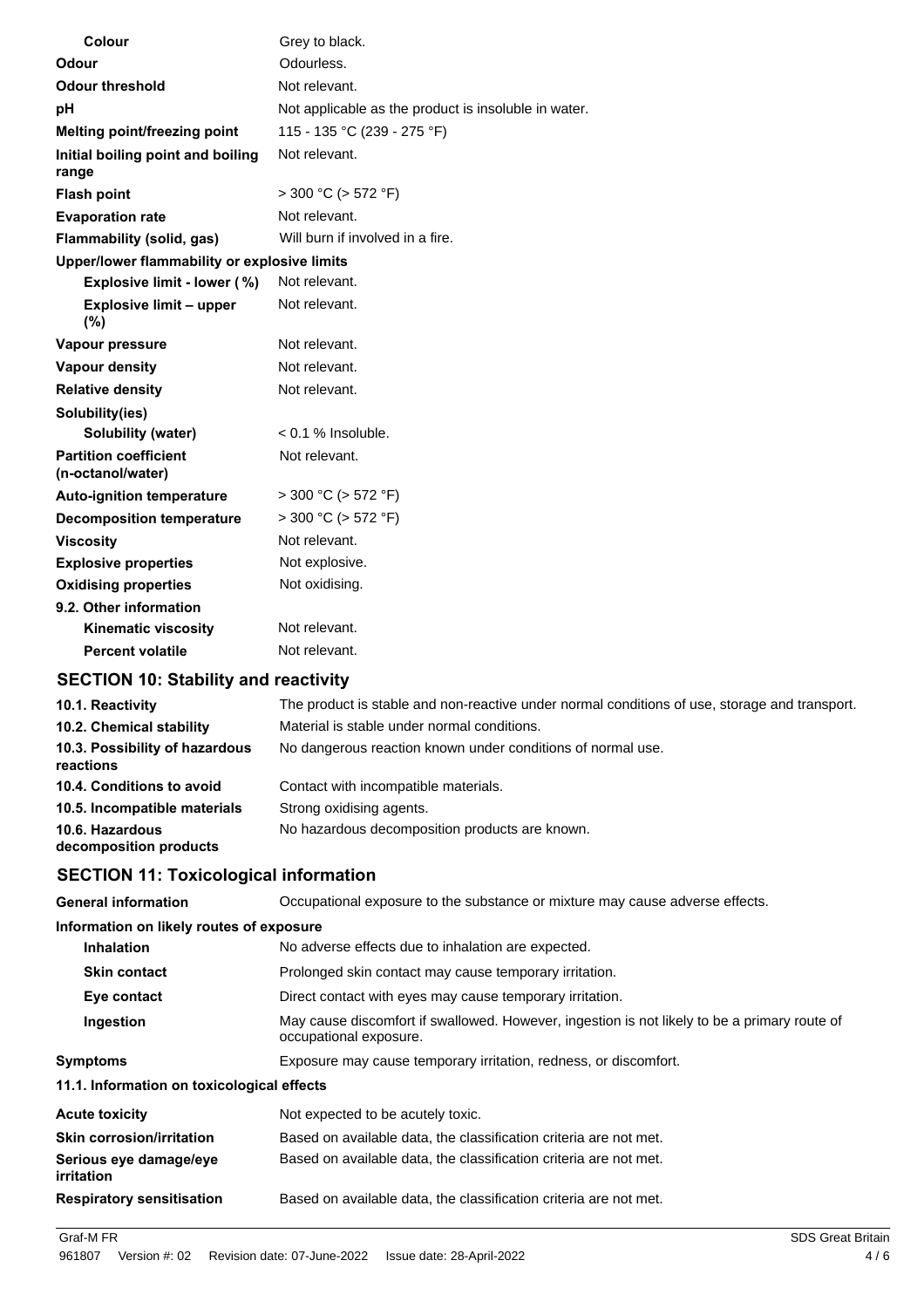| <b>Colour</b>                                     | Grey to black.                                       |
|---------------------------------------------------|------------------------------------------------------|
| Odour                                             | Odourless.                                           |
| <b>Odour threshold</b>                            | Not relevant.                                        |
| pH                                                | Not applicable as the product is insoluble in water. |
| Melting point/freezing point                      | 115 - 135 °C (239 - 275 °F)                          |
| Initial boiling point and boiling<br>range        | Not relevant.                                        |
| <b>Flash point</b>                                | $>$ 300 °C ( $>$ 572 °F)                             |
| <b>Evaporation rate</b>                           | Not relevant.                                        |
| Flammability (solid, gas)                         | Will burn if involved in a fire.                     |
| Upper/lower flammability or explosive limits      |                                                      |
| Explosive limit - lower (%)                       | Not relevant.                                        |
| <b>Explosive limit - upper</b><br>(%)             | Not relevant.                                        |
| Vapour pressure                                   | Not relevant.                                        |
| <b>Vapour density</b>                             | Not relevant.                                        |
| <b>Relative density</b>                           | Not relevant.                                        |
| Solubility(ies)                                   |                                                      |
| Solubility (water)                                | $< 0.1$ % Insoluble.                                 |
| <b>Partition coefficient</b><br>(n-octanol/water) | Not relevant.                                        |
| <b>Auto-ignition temperature</b>                  | $>$ 300 °C ( $>$ 572 °F)                             |
| <b>Decomposition temperature</b>                  | $> 300 °C$ ( $> 572 °F$ )                            |
| <b>Viscosity</b>                                  | Not relevant.                                        |
| <b>Explosive properties</b>                       | Not explosive.                                       |
| <b>Oxidising properties</b>                       | Not oxidising.                                       |
| 9.2. Other information                            |                                                      |
| <b>Kinematic viscosity</b>                        | Not relevant.                                        |
| <b>Percent volatile</b>                           | Not relevant.                                        |
| <b>SECTION 10: Stability and reactivity</b>       |                                                      |

| 10.1. Reactivity                            | The product is stable and non-reactive under normal conditions of use, storage and transport. |
|---------------------------------------------|-----------------------------------------------------------------------------------------------|
| 10.2. Chemical stability                    | Material is stable under normal conditions.                                                   |
| 10.3. Possibility of hazardous<br>reactions | No dangerous reaction known under conditions of normal use.                                   |
| 10.4. Conditions to avoid                   | Contact with incompatible materials.                                                          |
| 10.5. Incompatible materials                | Strong oxidising agents.                                                                      |
| 10.6. Hazardous<br>decomposition products   | No hazardous decomposition products are known.                                                |

# **SECTION 11: Toxicological information**

| <b>General information</b>                  | Occupational exposure to the substance or mixture may cause adverse effects.                                           |
|---------------------------------------------|------------------------------------------------------------------------------------------------------------------------|
| Information on likely routes of exposure    |                                                                                                                        |
| <b>Inhalation</b>                           | No adverse effects due to inhalation are expected.                                                                     |
| <b>Skin contact</b>                         | Prolonged skin contact may cause temporary irritation.                                                                 |
| Eye contact                                 | Direct contact with eyes may cause temporary irritation.                                                               |
| Ingestion                                   | May cause discomfort if swallowed. However, ingestion is not likely to be a primary route of<br>occupational exposure. |
| <b>Symptoms</b>                             | Exposure may cause temporary irritation, redness, or discomfort.                                                       |
| 11.1. Information on toxicological effects  |                                                                                                                        |
| <b>Acute toxicity</b>                       | Not expected to be acutely toxic.                                                                                      |
| <b>Skin corrosion/irritation</b>            | Based on available data, the classification criteria are not met.                                                      |
| Serious eye damage/eye<br><i>irritation</i> | Based on available data, the classification criteria are not met.                                                      |
| <b>Respiratory sensitisation</b>            | Based on available data, the classification criteria are not met.                                                      |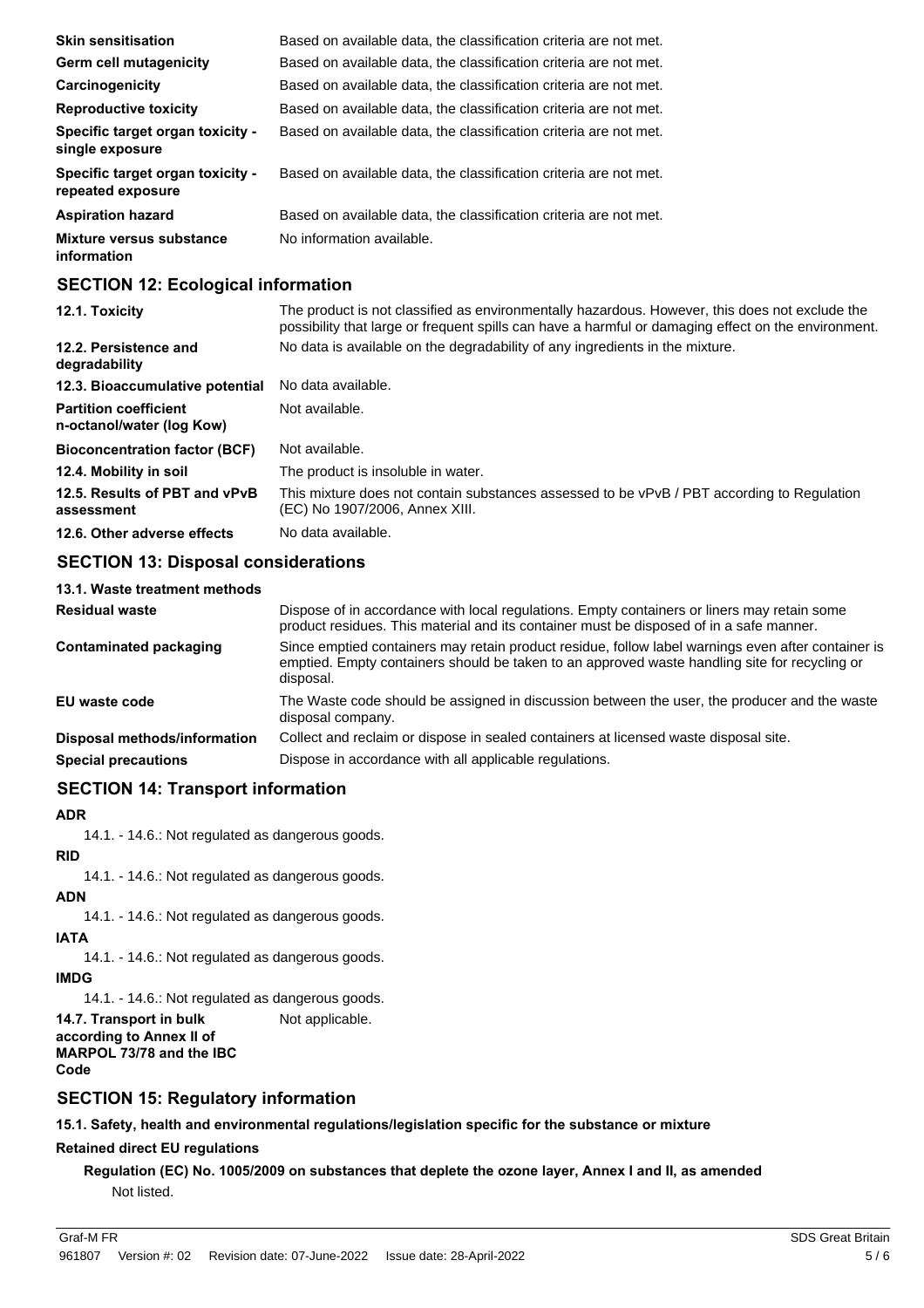| <b>Skin sensitisation</b>                             | Based on available data, the classification criteria are not met. |
|-------------------------------------------------------|-------------------------------------------------------------------|
| <b>Germ cell mutagenicity</b>                         | Based on available data, the classification criteria are not met. |
| Carcinogenicity                                       | Based on available data, the classification criteria are not met. |
| <b>Reproductive toxicity</b>                          | Based on available data, the classification criteria are not met. |
| Specific target organ toxicity -<br>single exposure   | Based on available data, the classification criteria are not met. |
| Specific target organ toxicity -<br>repeated exposure | Based on available data, the classification criteria are not met. |
| <b>Aspiration hazard</b>                              | Based on available data, the classification criteria are not met. |
| Mixture versus substance<br>information               | No information available.                                         |

# **SECTION 12: Ecological information**

| 12.1. Toxicity                                            | The product is not classified as environmentally hazardous. However, this does not exclude the<br>possibility that large or frequent spills can have a harmful or damaging effect on the environment. |
|-----------------------------------------------------------|-------------------------------------------------------------------------------------------------------------------------------------------------------------------------------------------------------|
| 12.2. Persistence and<br>degradability                    | No data is available on the degradability of any ingredients in the mixture.                                                                                                                          |
| 12.3. Bioaccumulative potential                           | No data available.                                                                                                                                                                                    |
| <b>Partition coefficient</b><br>n-octanol/water (log Kow) | Not available.                                                                                                                                                                                        |
| <b>Bioconcentration factor (BCF)</b>                      | Not available.                                                                                                                                                                                        |
| 12.4. Mobility in soil                                    | The product is insoluble in water.                                                                                                                                                                    |
| 12.5. Results of PBT and vPvB<br>assessment               | This mixture does not contain substances assessed to be vPvB / PBT according to Regulation<br>(EC) No 1907/2006, Annex XIII.                                                                          |
| 12.6. Other adverse effects                               | No data available.                                                                                                                                                                                    |

# **SECTION 13: Disposal considerations**

| 13.1. Waste treatment methods       |                                                                                                                                                                                                                  |
|-------------------------------------|------------------------------------------------------------------------------------------------------------------------------------------------------------------------------------------------------------------|
| <b>Residual waste</b>               | Dispose of in accordance with local regulations. Empty containers or liners may retain some<br>product residues. This material and its container must be disposed of in a safe manner.                           |
| Contaminated packaging              | Since emptied containers may retain product residue, follow label warnings even after container is<br>emptied. Empty containers should be taken to an approved waste handling site for recycling or<br>disposal. |
| EU waste code                       | The Waste code should be assigned in discussion between the user, the producer and the waste<br>disposal company.                                                                                                |
| <b>Disposal methods/information</b> | Collect and reclaim or dispose in sealed containers at licensed waste disposal site.                                                                                                                             |
| <b>Special precautions</b>          | Dispose in accordance with all applicable regulations.                                                                                                                                                           |

# **SECTION 14: Transport information**

### **ADR**

14.1. - 14.6.: Not regulated as dangerous goods.

### **RID**

14.1. - 14.6.: Not regulated as dangerous goods.

# **ADN**

14.1. - 14.6.: Not regulated as dangerous goods.

# **IATA**

14.1. - 14.6.: Not regulated as dangerous goods.

# **IMDG**

14.1. - 14.6.: Not regulated as dangerous goods.

**14.7. Transport in bulk** Not applicable. **according to Annex II of MARPOL 73/78 and the IBC Code**

# **SECTION 15: Regulatory information**

**15.1. Safety, health and environmental regulations/legislation specific for the substance or mixture**

# **Retained direct EU regulations**

**Regulation (EC) No. 1005/2009 on substances that deplete the ozone layer, Annex I and II, as amended** Not listed.